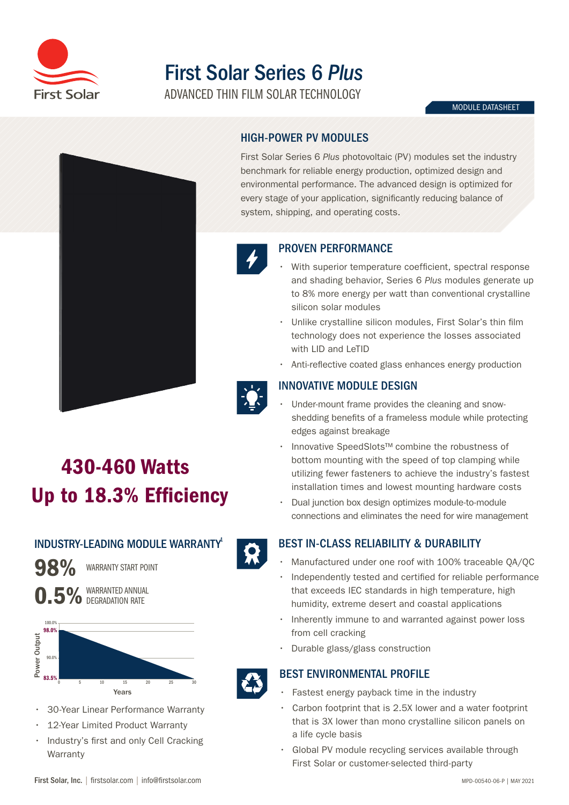

## First Solar Series 6 *Plus*

ADVANCED THIN FILM SOLAR TECHNOLOGY

#### MODULE DATASHEET



# HIGH-POWER PV MODULES

First Solar Series 6 *Plus* photovoltaic (PV) modules set the industry benchmark for reliable energy production, optimized design and environmental performance. The advanced design is optimized for every stage of your application, significantly reducing balance of system, shipping, and operating costs.



### PROVEN PERFORMANCE

- With superior temperature coefficient, spectral response and shading behavior, Series 6 *Plus* modules generate up to 8% more energy per watt than conventional crystalline silicon solar modules
- Unlike crystalline silicon modules, First Solar's thin film technology does not experience the losses associated with LID and LeTID
- Anti-reflective coated glass enhances energy production



## INNOVATIVE MODULE DESIGN

- Under-mount frame provides the cleaning and snowshedding benefits of a frameless module while protecting edges against breakage
- Innovative SpeedSlots™ combine the robustness of bottom mounting with the speed of top clamping while utilizing fewer fasteners to achieve the industry's fastest installation times and lowest mounting hardware costs
- Dual junction box design optimizes module-to-module connections and eliminates the need for wire management

## BEST IN-CLASS RELIABILITY & DURABILITY

- Manufactured under one roof with 100% traceable QA/QC
- Independently tested and certified for reliable performance that exceeds IEC standards in high temperature, high humidity, extreme desert and coastal applications
- Inherently immune to and warranted against power loss from cell cracking
- Durable glass/glass construction

## BEST ENVIRONMENTAL PROFILE

- Fastest energy payback time in the industry
- Carbon footprint that is 2.5X lower and a water footprint that is 3X lower than mono crystalline silicon panels on a life cycle basis
- Global PV module recycling services available through First Solar or customer-selected third-party

## 430-460 Watts Up to 18.3% Efficiency

## INDUSTRY-LEADING MODULE WARRANTY

98% WARRANTY START POINT





• 30-Year Linear Performance Warranty

0 5 10 15 20 25 30 Years

12-Year Limited Product Warranty

83.5%

• Industry's first and only Cell Cracking **Warranty**